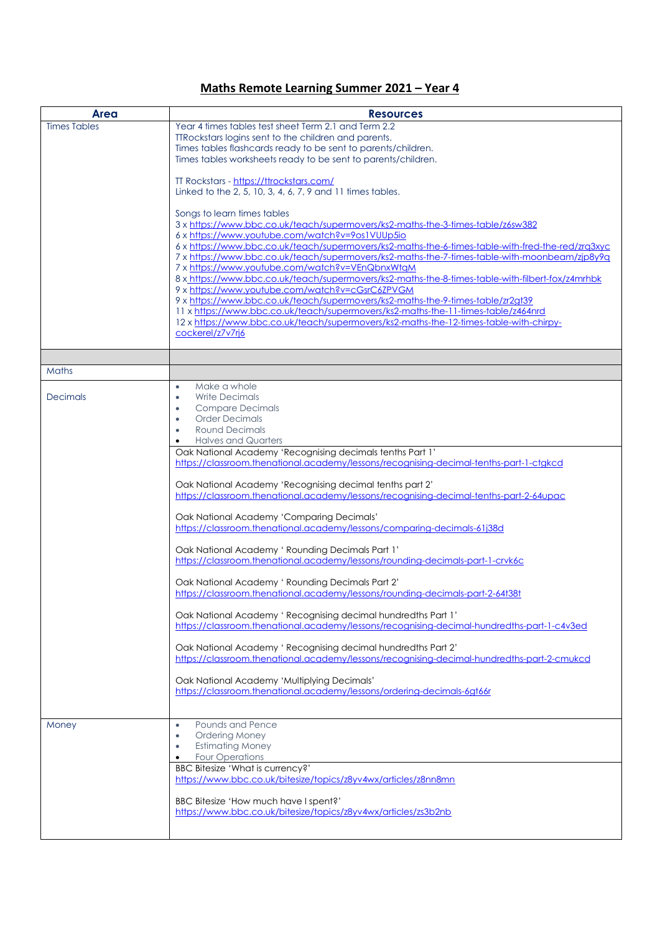## **Maths Remote Learning Summer 2021 – Year 4**

| <b>Area</b>         | <b>Resources</b>                                                                                                                                            |
|---------------------|-------------------------------------------------------------------------------------------------------------------------------------------------------------|
| <b>Times Tables</b> | Year 4 times tables test sheet Term 2.1 and Term 2.2                                                                                                        |
|                     | TTRockstars logins sent to the children and parents.                                                                                                        |
|                     | Times tables flashcards ready to be sent to parents/children.                                                                                               |
|                     | Times tables worksheets ready to be sent to parents/children.                                                                                               |
|                     |                                                                                                                                                             |
|                     | TT Rockstars - https://ttrockstars.com/                                                                                                                     |
|                     | Linked to the 2, 5, 10, 3, 4, 6, 7, 9 and 11 times tables.                                                                                                  |
|                     |                                                                                                                                                             |
|                     | Songs to learn times tables                                                                                                                                 |
|                     | 3 x https://www.bbc.co.uk/teach/supermovers/ks2-maths-the-3-times-table/z6sw382<br>6 x https://www.youtube.com/watch?v=9os1VUUp5io                          |
|                     | 6 x https://www.bbc.co.uk/teach/supermovers/ks2-maths-the-6-times-table-with-fred-the-red/zrq3xyc                                                           |
|                     | 7 x https://www.bbc.co.uk/teach/supermovers/ks2-maths-the-7-times-table-with-moonbeam/zip8y9g                                                               |
|                     | 7 x https://www.youtube.com/watch?v=VEnQbnxWtaM                                                                                                             |
|                     | 8 x https://www.bbc.co.uk/teach/supermovers/ks2-maths-the-8-times-table-with-filbert-fox/z4mrhbk                                                            |
|                     | 9 x https://www.youtube.com/watch?v=cGsrC6ZPVGM                                                                                                             |
|                     | 9 x https://www.bbc.co.uk/teach/supermovers/ks2-maths-the-9-times-table/zr2gt39                                                                             |
|                     | 11 x https://www.bbc.co.uk/teach/supermovers/ks2-maths-the-11-times-table/z464nrd                                                                           |
|                     | 12 x https://www.bbc.co.uk/teach/supermovers/ks2-maths-the-12-times-table-with-chirpy-                                                                      |
|                     | cockerel/z7v7rj6                                                                                                                                            |
|                     |                                                                                                                                                             |
|                     |                                                                                                                                                             |
| <b>Maths</b>        |                                                                                                                                                             |
|                     | Make a whole<br>٠                                                                                                                                           |
| <b>Decimals</b>     | <b>Write Decimals</b><br>٠                                                                                                                                  |
|                     | <b>Compare Decimals</b><br><b>Order Decimals</b><br>$\bullet$                                                                                               |
|                     | <b>Round Decimals</b>                                                                                                                                       |
|                     | <b>Halves and Quarters</b>                                                                                                                                  |
|                     | Oak National Academy 'Recognising decimals tenths Part 1'                                                                                                   |
|                     | https://classroom.thenational.academy/lessons/recognising-decimal-tenths-part-1-ctgkcd                                                                      |
|                     |                                                                                                                                                             |
|                     | Oak National Academy 'Recognising decimal tenths part 2'                                                                                                    |
|                     | https://classroom.thenational.academy/lessons/recognising-decimal-tenths-part-2-64upac                                                                      |
|                     |                                                                                                                                                             |
|                     | Oak National Academy 'Comparing Decimals'<br>https://classroom.thenational.academy/lessons/comparing-decimals-61j38d                                        |
|                     |                                                                                                                                                             |
|                     | Oak National Academy ' Rounding Decimals Part 1'                                                                                                            |
|                     | https://classroom.thenational.academy/lessons/rounding-decimals-part-1-crvk6c                                                                               |
|                     |                                                                                                                                                             |
|                     | Oak National Academy ' Rounding Decimals Part 2'                                                                                                            |
|                     | https://classroom.thenational.academy/lessons/rounding-decimals-part-2-64t38t                                                                               |
|                     |                                                                                                                                                             |
|                     | Oak National Academy ' Recognising decimal hundredths Part 1'<br>https://classroom.thenational.academy/lessons/recognising-decimal-hundredths-part-1-c4v3ed |
|                     |                                                                                                                                                             |
|                     | Oak National Academy ' Recognising decimal hundredths Part 2'                                                                                               |
|                     | https://classroom.thenational.academy/lessons/recognising-decimal-hundredths-part-2-cmukcd                                                                  |
|                     |                                                                                                                                                             |
|                     | Oak National Academy 'Multiplying Decimals'                                                                                                                 |
|                     | https://classroom.thenational.academy/lessons/ordering-decimals-6qt66r                                                                                      |
|                     |                                                                                                                                                             |
| Money               | Pounds and Pence<br>٠                                                                                                                                       |
|                     | Ordering Money<br>٠                                                                                                                                         |
|                     | <b>Estimating Money</b><br>$\bullet$                                                                                                                        |
|                     | Four Operations<br>$\bullet$                                                                                                                                |
|                     | BBC Bitesize 'What is currency?'                                                                                                                            |
|                     | https://www.bbc.co.uk/bitesize/topics/z8yv4wx/articles/z8nn8mn                                                                                              |
|                     |                                                                                                                                                             |
|                     | BBC Bitesize 'How much have I spent?'<br>https://www.bbc.co.uk/bitesize/topics/z8yv4wx/articles/zs3b2nb                                                     |
|                     |                                                                                                                                                             |
|                     |                                                                                                                                                             |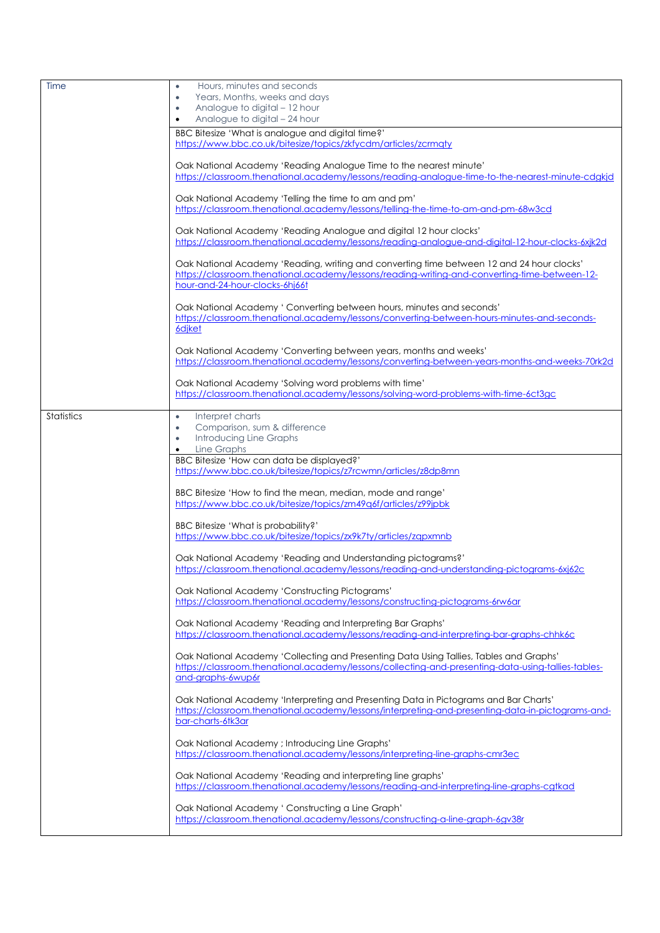| Time              | Hours, minutes and seconds<br>٠                                                                                                                                                            |
|-------------------|--------------------------------------------------------------------------------------------------------------------------------------------------------------------------------------------|
|                   | Years, Months, weeks and days<br>$\bullet$                                                                                                                                                 |
|                   | Analogue to digital - 12 hour<br>$\bullet$                                                                                                                                                 |
|                   | Analogue to digital - 24 hour<br>$\bullet$                                                                                                                                                 |
|                   | BBC Bitesize 'What is analogue and digital time?'                                                                                                                                          |
|                   | https://www.bbc.co.uk/bitesize/topics/zkfycdm/articles/zcrmaty                                                                                                                             |
|                   | Oak National Academy 'Reading Analogue Time to the nearest minute'                                                                                                                         |
|                   | https://classroom.thenational.academy/lessons/reading-analogue-time-to-the-nearest-minute-cdgkjd                                                                                           |
|                   | Oak National Academy 'Telling the time to am and pm'                                                                                                                                       |
|                   | https://classroom.thenational.academy/lessons/telling-the-time-to-am-and-pm-68w3cd                                                                                                         |
|                   | Oak National Academy 'Reading Analogue and digital 12 hour clocks'                                                                                                                         |
|                   | https://classroom.thenational.academy/lessons/reading-analogue-and-digital-12-hour-clocks-6xjk2d                                                                                           |
|                   |                                                                                                                                                                                            |
|                   | Oak National Academy 'Reading, writing and converting time between 12 and 24 hour clocks'<br>https://classroom.thenational.academy/lessons/reading-writing-and-converting-time-between-12- |
|                   | hour-and-24-hour-clocks-6hj66t                                                                                                                                                             |
|                   |                                                                                                                                                                                            |
|                   | Oak National Academy ' Converting between hours, minutes and seconds'<br>https://classroom.thenational.academy/lessons/converting-between-hours-minutes-and-seconds-                       |
|                   | 6djket                                                                                                                                                                                     |
|                   | Oak National Academy 'Converting between years, months and weeks'                                                                                                                          |
|                   | https://classroom.thenational.academy/lessons/converting-between-years-months-and-weeks-70rk2d                                                                                             |
|                   | Oak National Academy 'Solving word problems with time'                                                                                                                                     |
|                   | https://classroom.thenational.academy/lessons/solving-word-problems-with-time-6ct3ac                                                                                                       |
| <b>Statistics</b> |                                                                                                                                                                                            |
|                   | Interpret charts<br>٠<br>Comparison, sum & difference<br>$\bullet$                                                                                                                         |
|                   | Introducing Line Graphs<br>٠                                                                                                                                                               |
|                   | Line Graphs                                                                                                                                                                                |
|                   |                                                                                                                                                                                            |
|                   | BBC Bitesize 'How can data be displayed?'                                                                                                                                                  |
|                   | https://www.bbc.co.uk/bitesize/topics/z7rcwmn/articles/z8dp8mn                                                                                                                             |
|                   | BBC Bitesize 'How to find the mean, median, mode and range'                                                                                                                                |
|                   | https://www.bbc.co.uk/bitesize/topics/zm49q6f/articles/z99jpbk                                                                                                                             |
|                   |                                                                                                                                                                                            |
|                   | BBC Bitesize 'What is probability?'<br>https://www.bbc.co.uk/bitesize/topics/zx9k7ty/articles/zgpxmnb                                                                                      |
|                   |                                                                                                                                                                                            |
|                   | Oak National Academy 'Reading and Understanding pictograms?'<br>https://classroom.thenational.academy/lessons/reading-and-understanding-pictograms-6xj62c                                  |
|                   |                                                                                                                                                                                            |
|                   | Oak National Academy 'Constructing Pictograms'<br>https://classroom.thenational.academy/lessons/constructing-pictograms-6rw6ar                                                             |
|                   |                                                                                                                                                                                            |
|                   | Oak National Academy 'Reading and Interpreting Bar Graphs'<br>https://classroom.thenational.academy/lessons/reading-and-interpreting-bar-graphs-chhk6c                                     |
|                   |                                                                                                                                                                                            |
|                   | Oak National Academy 'Collecting and Presenting Data Using Tallies, Tables and Graphs'                                                                                                     |
|                   | https://classroom.thenational.academy/lessons/collecting-and-presenting-data-using-tallies-tables-<br>and-graphs-6wup6r                                                                    |
|                   |                                                                                                                                                                                            |
|                   | Oak National Academy 'Interpreting and Presenting Data in Pictograms and Bar Charts'                                                                                                       |
|                   | https://classroom.thenational.academy/lessons/interpreting-and-presenting-data-in-pictograms-and-<br>bar-charts-6tk3ar                                                                     |
|                   |                                                                                                                                                                                            |
|                   | Oak National Academy ; Introducing Line Graphs'                                                                                                                                            |
|                   | https://classroom.thenational.academy/lessons/interpreting-line-graphs-cmr3ec                                                                                                              |
|                   | Oak National Academy 'Reading and interpreting line graphs'                                                                                                                                |
|                   | https://classroom.thenational.academy/lessons/reading-and-interpreting-line-graphs-cgtkad                                                                                                  |
|                   | Oak National Academy ' Constructing a Line Graph'                                                                                                                                          |
|                   | https://classroom.thenational.academy/lessons/constructing-a-line-graph-6qv38r                                                                                                             |